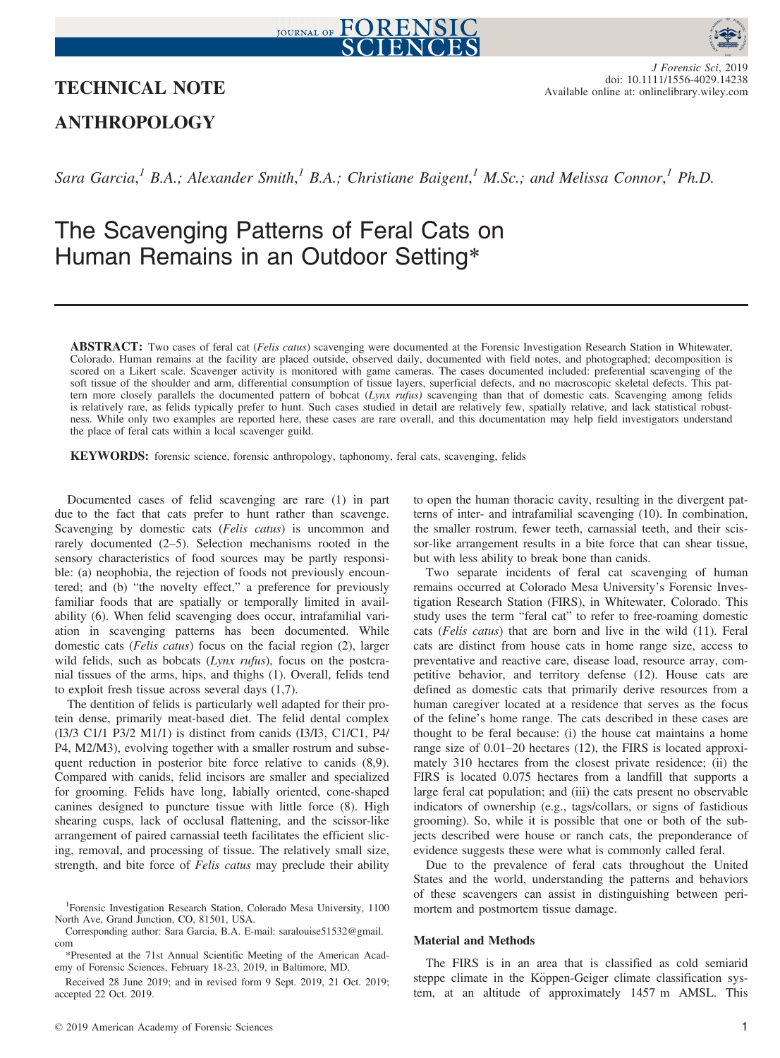



# TECHNICAL NOTE

J Forensic Sci, 2019 doi: 10.1111/1556-4029.14238 Available online at: onlinelibrary.wiley.com

# ANTHROPOLOGY

Sara Garcia,<sup>1</sup> B.A.; Alexander Smith,<sup>1</sup> B.A.; Christiane Baigent,<sup>1</sup> M.Sc.; and Melissa Connor,<sup>1</sup> Ph.D.

# The Scavenging Patterns of Feral Cats on Human Remains in an Outdoor Setting\*

ABSTRACT: Two cases of feral cat (Felis catus) scavenging were documented at the Forensic Investigation Research Station in Whitewater, Colorado. Human remains at the facility are placed outside, observed daily, documented with field notes, and photographed; decomposition is scored on a Likert scale. Scavenger activity is monitored with game cameras. The cases documented included: preferential scavenging of the soft tissue of the shoulder and arm, differential consumption of tissue layers, superficial defects, and no macroscopic skeletal defects. This pattern more closely parallels the documented pattern of bobcat (Lynx rufus) scavenging than that of domestic cats. Scavenging among felids is relatively rare, as felids typically prefer to hunt. Such cases studied in detail are relatively few, spatially relative, and lack statistical robustness. While only two examples are reported here, these cases are rare overall, and this documentation may help field investigators understand the place of feral cats within a local scavenger guild.

KEYWORDS: forensic science, forensic anthropology, taphonomy, feral cats, scavenging, felids

Documented cases of felid scavenging are rare (1) in part due to the fact that cats prefer to hunt rather than scavenge. Scavenging by domestic cats (Felis catus) is uncommon and rarely documented (2–5). Selection mechanisms rooted in the sensory characteristics of food sources may be partly responsible: (a) neophobia, the rejection of foods not previously encountered; and (b) "the novelty effect," a preference for previously familiar foods that are spatially or temporally limited in availability (6). When felid scavenging does occur, intrafamilial variation in scavenging patterns has been documented. While domestic cats (Felis catus) focus on the facial region (2), larger wild felids, such as bobcats  $(Lynx)$  rufus), focus on the postcranial tissues of the arms, hips, and thighs (1). Overall, felids tend to exploit fresh tissue across several days (1,7).

The dentition of felids is particularly well adapted for their protein dense, primarily meat-based diet. The felid dental complex (I3/3 C1/1 P3/2 M1/1) is distinct from canids (I3/I3, C1/C1, P4/ P4, M2/M3), evolving together with a smaller rostrum and subsequent reduction in posterior bite force relative to canids (8,9). Compared with canids, felid incisors are smaller and specialized for grooming. Felids have long, labially oriented, cone-shaped canines designed to puncture tissue with little force (8). High shearing cusps, lack of occlusal flattening, and the scissor-like arrangement of paired carnassial teeth facilitates the efficient slicing, removal, and processing of tissue. The relatively small size, strength, and bite force of Felis catus may preclude their ability to open the human thoracic cavity, resulting in the divergent patterns of inter- and intrafamilial scavenging (10). In combination, the smaller rostrum, fewer teeth, carnassial teeth, and their scissor-like arrangement results in a bite force that can shear tissue, but with less ability to break bone than canids.

Two separate incidents of feral cat scavenging of human remains occurred at Colorado Mesa University's Forensic Investigation Research Station (FIRS), in Whitewater, Colorado. This study uses the term "feral cat" to refer to free-roaming domestic cats (Felis catus) that are born and live in the wild (11). Feral cats are distinct from house cats in home range size, access to preventative and reactive care, disease load, resource array, competitive behavior, and territory defense (12). House cats are defined as domestic cats that primarily derive resources from a human caregiver located at a residence that serves as the focus of the feline's home range. The cats described in these cases are thought to be feral because: (i) the house cat maintains a home range size of 0.01–20 hectares (12), the FIRS is located approximately 310 hectares from the closest private residence; (ii) the FIRS is located 0.075 hectares from a landfill that supports a large feral cat population; and (iii) the cats present no observable indicators of ownership (e.g., tags/collars, or signs of fastidious grooming). So, while it is possible that one or both of the subjects described were house or ranch cats, the preponderance of evidence suggests these were what is commonly called feral.

Due to the prevalence of feral cats throughout the United States and the world, understanding the patterns and behaviors of these scavengers can assist in distinguishing between perimortem and postmortem tissue damage.

## Material and Methods

The FIRS is in an area that is classified as cold semiarid steppe climate in the Köppen-Geiger climate classification system, at an altitude of approximately 1457 m AMSL. This

<sup>&</sup>lt;sup>1</sup>Forensic Investigation Research Station, Colorado Mesa University, 1100 North Ave, Grand Junction, CO, 81501, USA.

Corresponding author: Sara Garcia, B.A. E-mail: saralouise51532@gmail. com

<sup>\*</sup>Presented at the 71st Annual Scientific Meeting of the American Academy of Forensic Sciences, February 18-23, 2019, in Baltimore, MD.

Received 28 June 2019; and in revised form 9 Sept. 2019, 21 Oct. 2019; accepted 22 Oct. 2019.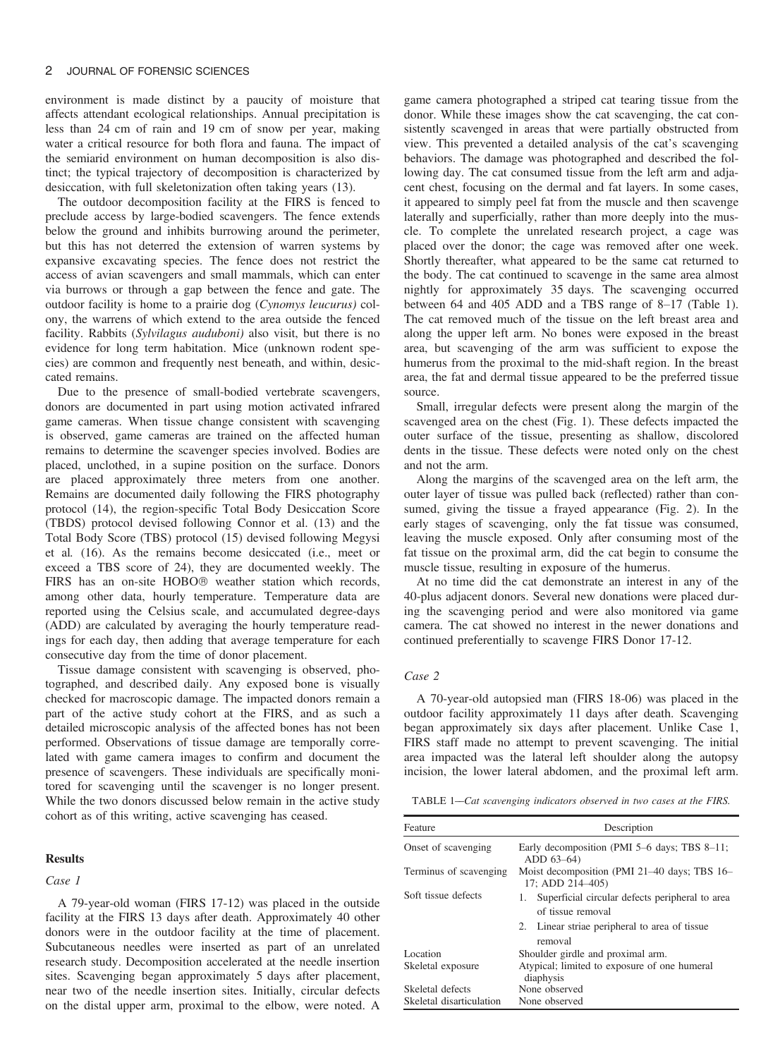environment is made distinct by a paucity of moisture that affects attendant ecological relationships. Annual precipitation is less than 24 cm of rain and 19 cm of snow per year, making water a critical resource for both flora and fauna. The impact of the semiarid environment on human decomposition is also distinct; the typical trajectory of decomposition is characterized by desiccation, with full skeletonization often taking years (13).

The outdoor decomposition facility at the FIRS is fenced to preclude access by large-bodied scavengers. The fence extends below the ground and inhibits burrowing around the perimeter, but this has not deterred the extension of warren systems by expansive excavating species. The fence does not restrict the access of avian scavengers and small mammals, which can enter via burrows or through a gap between the fence and gate. The outdoor facility is home to a prairie dog (Cynomys leucurus) colony, the warrens of which extend to the area outside the fenced facility. Rabbits (Sylvilagus auduboni) also visit, but there is no evidence for long term habitation. Mice (unknown rodent species) are common and frequently nest beneath, and within, desiccated remains.

Due to the presence of small-bodied vertebrate scavengers, donors are documented in part using motion activated infrared game cameras. When tissue change consistent with scavenging is observed, game cameras are trained on the affected human remains to determine the scavenger species involved. Bodies are placed, unclothed, in a supine position on the surface. Donors are placed approximately three meters from one another. Remains are documented daily following the FIRS photography protocol (14), the region-specific Total Body Desiccation Score (TBDS) protocol devised following Connor et al. (13) and the Total Body Score (TBS) protocol (15) devised following Megysi et al. (16). As the remains become desiccated (i.e., meet or exceed a TBS score of 24), they are documented weekly. The FIRS has an on-site HOBO<sup>®</sup> weather station which records, among other data, hourly temperature. Temperature data are reported using the Celsius scale, and accumulated degree-days (ADD) are calculated by averaging the hourly temperature readings for each day, then adding that average temperature for each consecutive day from the time of donor placement.

Tissue damage consistent with scavenging is observed, photographed, and described daily. Any exposed bone is visually checked for macroscopic damage. The impacted donors remain a part of the active study cohort at the FIRS, and as such a detailed microscopic analysis of the affected bones has not been performed. Observations of tissue damage are temporally correlated with game camera images to confirm and document the presence of scavengers. These individuals are specifically monitored for scavenging until the scavenger is no longer present. While the two donors discussed below remain in the active study cohort as of this writing, active scavenging has ceased.

#### Results

# Case 1

A 79-year-old woman (FIRS 17-12) was placed in the outside facility at the FIRS 13 days after death. Approximately 40 other donors were in the outdoor facility at the time of placement. Subcutaneous needles were inserted as part of an unrelated research study. Decomposition accelerated at the needle insertion sites. Scavenging began approximately 5 days after placement, near two of the needle insertion sites. Initially, circular defects on the distal upper arm, proximal to the elbow, were noted. A

game camera photographed a striped cat tearing tissue from the donor. While these images show the cat scavenging, the cat consistently scavenged in areas that were partially obstructed from view. This prevented a detailed analysis of the cat's scavenging behaviors. The damage was photographed and described the following day. The cat consumed tissue from the left arm and adjacent chest, focusing on the dermal and fat layers. In some cases, it appeared to simply peel fat from the muscle and then scavenge laterally and superficially, rather than more deeply into the muscle. To complete the unrelated research project, a cage was placed over the donor; the cage was removed after one week. Shortly thereafter, what appeared to be the same cat returned to the body. The cat continued to scavenge in the same area almost nightly for approximately 35 days. The scavenging occurred between 64 and 405 ADD and a TBS range of 8–17 (Table 1). The cat removed much of the tissue on the left breast area and along the upper left arm. No bones were exposed in the breast area, but scavenging of the arm was sufficient to expose the humerus from the proximal to the mid-shaft region. In the breast area, the fat and dermal tissue appeared to be the preferred tissue source.

Small, irregular defects were present along the margin of the scavenged area on the chest (Fig. 1). These defects impacted the outer surface of the tissue, presenting as shallow, discolored dents in the tissue. These defects were noted only on the chest and not the arm.

Along the margins of the scavenged area on the left arm, the outer layer of tissue was pulled back (reflected) rather than consumed, giving the tissue a frayed appearance (Fig. 2). In the early stages of scavenging, only the fat tissue was consumed, leaving the muscle exposed. Only after consuming most of the fat tissue on the proximal arm, did the cat begin to consume the muscle tissue, resulting in exposure of the humerus.

At no time did the cat demonstrate an interest in any of the 40-plus adjacent donors. Several new donations were placed during the scavenging period and were also monitored via game camera. The cat showed no interest in the newer donations and continued preferentially to scavenge FIRS Donor 17-12.

### Case 2

A 70-year-old autopsied man (FIRS 18-06) was placed in the outdoor facility approximately 11 days after death. Scavenging began approximately six days after placement. Unlike Case 1, FIRS staff made no attempt to prevent scavenging. The initial area impacted was the lateral left shoulder along the autopsy incision, the lower lateral abdomen, and the proximal left arm.

TABLE 1-Cat scavenging indicators observed in two cases at the FIRS.

| Feature                  | Description                                                                                                                 |  |  |
|--------------------------|-----------------------------------------------------------------------------------------------------------------------------|--|--|
| Onset of scavenging      | Early decomposition (PMI 5–6 days; TBS 8–11;<br>ADD 63–64)                                                                  |  |  |
| Terminus of scavenging   | Moist decomposition (PMI 21–40 days; TBS 16–<br>17: ADD 214-405)                                                            |  |  |
| Soft tissue defects      | Superficial circular defects peripheral to area<br>1.<br>of tissue removal<br>2. Linear striae peripheral to area of tissue |  |  |
| Location                 | removal<br>Shoulder girdle and proximal arm.                                                                                |  |  |
| Skeletal exposure        | Atypical; limited to exposure of one humeral<br>diaphysis                                                                   |  |  |
| Skeletal defects         | None observed                                                                                                               |  |  |
| Skeletal disarticulation | None observed                                                                                                               |  |  |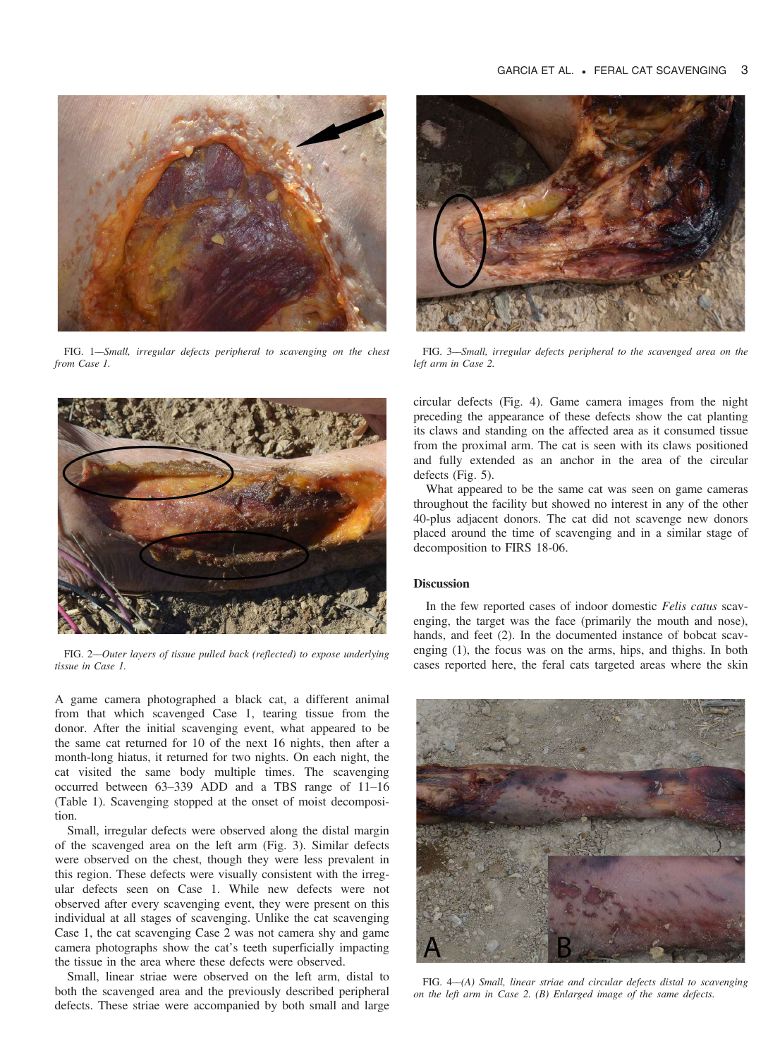

FIG. 1––Small, irregular defects peripheral to scavenging on the chest from Case 1.



FIG. 2––Outer layers of tissue pulled back (reflected) to expose underlying tissue in Case 1.

A game camera photographed a black cat, a different animal from that which scavenged Case 1, tearing tissue from the donor. After the initial scavenging event, what appeared to be the same cat returned for 10 of the next 16 nights, then after a month-long hiatus, it returned for two nights. On each night, the cat visited the same body multiple times. The scavenging occurred between 63–339 ADD and a TBS range of 11–16 (Table 1). Scavenging stopped at the onset of moist decomposition.

Small, irregular defects were observed along the distal margin of the scavenged area on the left arm (Fig. 3). Similar defects were observed on the chest, though they were less prevalent in this region. These defects were visually consistent with the irregular defects seen on Case 1. While new defects were not observed after every scavenging event, they were present on this individual at all stages of scavenging. Unlike the cat scavenging Case 1, the cat scavenging Case 2 was not camera shy and game camera photographs show the cat's teeth superficially impacting the tissue in the area where these defects were observed.

Small, linear striae were observed on the left arm, distal to both the scavenged area and the previously described peripheral defects. These striae were accompanied by both small and large



FIG. 3––Small, irregular defects peripheral to the scavenged area on the left arm in Case 2.

circular defects (Fig. 4). Game camera images from the night preceding the appearance of these defects show the cat planting its claws and standing on the affected area as it consumed tissue from the proximal arm. The cat is seen with its claws positioned and fully extended as an anchor in the area of the circular defects (Fig. 5).

What appeared to be the same cat was seen on game cameras throughout the facility but showed no interest in any of the other 40-plus adjacent donors. The cat did not scavenge new donors placed around the time of scavenging and in a similar stage of decomposition to FIRS 18-06.

## **Discussion**

In the few reported cases of indoor domestic Felis catus scavenging, the target was the face (primarily the mouth and nose), hands, and feet (2). In the documented instance of bobcat scavenging (1), the focus was on the arms, hips, and thighs. In both cases reported here, the feral cats targeted areas where the skin



FIG. 4-(A) Small, linear striae and circular defects distal to scavenging on the left arm in Case 2. (B) Enlarged image of the same defects.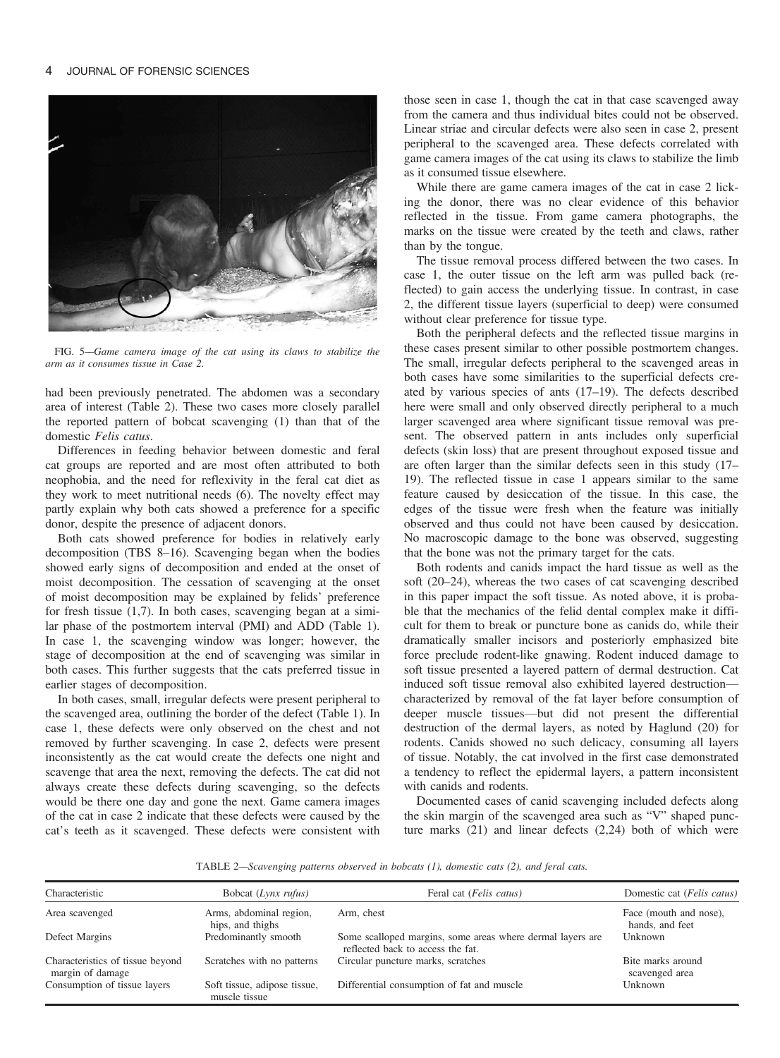

FIG. 5––Game camera image of the cat using its claws to stabilize the arm as it consumes tissue in Case 2.

had been previously penetrated. The abdomen was a secondary area of interest (Table 2). These two cases more closely parallel the reported pattern of bobcat scavenging (1) than that of the domestic Felis catus.

Differences in feeding behavior between domestic and feral cat groups are reported and are most often attributed to both neophobia, and the need for reflexivity in the feral cat diet as they work to meet nutritional needs (6). The novelty effect may partly explain why both cats showed a preference for a specific donor, despite the presence of adjacent donors.

Both cats showed preference for bodies in relatively early decomposition (TBS 8-16). Scavenging began when the bodies showed early signs of decomposition and ended at the onset of moist decomposition. The cessation of scavenging at the onset of moist decomposition may be explained by felids' preference for fresh tissue (1,7). In both cases, scavenging began at a similar phase of the postmortem interval (PMI) and ADD (Table 1). In case 1, the scavenging window was longer; however, the stage of decomposition at the end of scavenging was similar in both cases. This further suggests that the cats preferred tissue in earlier stages of decomposition.

In both cases, small, irregular defects were present peripheral to the scavenged area, outlining the border of the defect (Table 1). In case 1, these defects were only observed on the chest and not removed by further scavenging. In case 2, defects were present inconsistently as the cat would create the defects one night and scavenge that area the next, removing the defects. The cat did not always create these defects during scavenging, so the defects would be there one day and gone the next. Game camera images of the cat in case 2 indicate that these defects were caused by the cat's teeth as it scavenged. These defects were consistent with those seen in case 1, though the cat in that case scavenged away from the camera and thus individual bites could not be observed. Linear striae and circular defects were also seen in case 2, present peripheral to the scavenged area. These defects correlated with game camera images of the cat using its claws to stabilize the limb as it consumed tissue elsewhere.

While there are game camera images of the cat in case 2 licking the donor, there was no clear evidence of this behavior reflected in the tissue. From game camera photographs, the marks on the tissue were created by the teeth and claws, rather than by the tongue.

The tissue removal process differed between the two cases. In case 1, the outer tissue on the left arm was pulled back (reflected) to gain access the underlying tissue. In contrast, in case 2, the different tissue layers (superficial to deep) were consumed without clear preference for tissue type.

Both the peripheral defects and the reflected tissue margins in these cases present similar to other possible postmortem changes. The small, irregular defects peripheral to the scavenged areas in both cases have some similarities to the superficial defects created by various species of ants (17–19). The defects described here were small and only observed directly peripheral to a much larger scavenged area where significant tissue removal was present. The observed pattern in ants includes only superficial defects (skin loss) that are present throughout exposed tissue and are often larger than the similar defects seen in this study (17– 19). The reflected tissue in case 1 appears similar to the same feature caused by desiccation of the tissue. In this case, the edges of the tissue were fresh when the feature was initially observed and thus could not have been caused by desiccation. No macroscopic damage to the bone was observed, suggesting that the bone was not the primary target for the cats.

Both rodents and canids impact the hard tissue as well as the soft (20–24), whereas the two cases of cat scavenging described in this paper impact the soft tissue. As noted above, it is probable that the mechanics of the felid dental complex make it difficult for them to break or puncture bone as canids do, while their dramatically smaller incisors and posteriorly emphasized bite force preclude rodent-like gnawing. Rodent induced damage to soft tissue presented a layered pattern of dermal destruction. Cat induced soft tissue removal also exhibited layered destruction characterized by removal of the fat layer before consumption of deeper muscle tissues—but did not present the differential destruction of the dermal layers, as noted by Haglund (20) for rodents. Canids showed no such delicacy, consuming all layers of tissue. Notably, the cat involved in the first case demonstrated a tendency to reflect the epidermal layers, a pattern inconsistent with canids and rodents.

Documented cases of canid scavenging included defects along the skin margin of the scavenged area such as "V" shaped puncture marks (21) and linear defects (2,24) both of which were

TABLE 2––Scavenging patterns observed in bobcats (1), domestic cats (2), and feral cats.

| Characteristic                                       | Bobcat (Lynx rufus)                           | Feral cat ( <i>Felis catus</i> )                                                                | Domestic cat (Felis catus)                |
|------------------------------------------------------|-----------------------------------------------|-------------------------------------------------------------------------------------------------|-------------------------------------------|
| Area scavenged                                       | Arms, abdominal region,<br>hips, and thighs   | Arm, chest                                                                                      | Face (mouth and nose),<br>hands, and feet |
| Defect Margins                                       | Predominantly smooth                          | Some scalloped margins, some areas where dermal layers are<br>reflected back to access the fat. | Unknown                                   |
| Characteristics of tissue beyond<br>margin of damage | Scratches with no patterns                    | Circular puncture marks, scratches                                                              | Bite marks around<br>scavenged area       |
| Consumption of tissue layers                         | Soft tissue, adipose tissue,<br>muscle tissue | Differential consumption of fat and muscle                                                      | Unknown                                   |